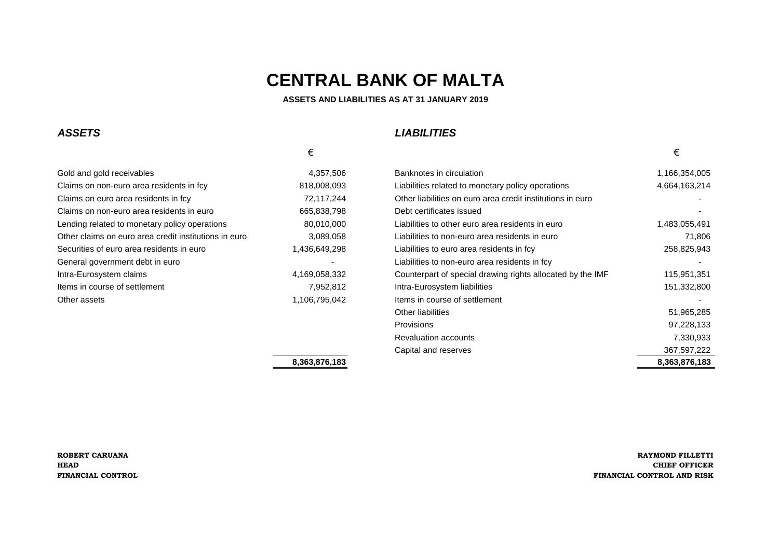# *ASSETS LIABILITIES*

| Gold and gold receivables                             | 4,357,506     |
|-------------------------------------------------------|---------------|
| Claims on non-euro area residents in fcy              | 818,008,093   |
| Claims on euro area residents in fcy                  | 72,117,244    |
| Claims on non-euro area residents in euro             | 665,838,798   |
| Lending related to monetary policy operations         | 80,010,000    |
| Other claims on euro area credit institutions in euro | 3,089,058     |
| Securities of euro area residents in euro             | 1,436,649,298 |
| General government debt in euro                       |               |
| Intra-Eurosystem claims                               | 4,169,058,332 |
| Items in course of settlement                         | 7,952,812     |
| Other assets                                          | 1,106,795,042 |

Chaims on euro area credit institutions in euro **Algebrary 2014** L 31,117,244 and 31,174,244 and 31,174,244 and -Claims on non-euro area residents in euro 665,838,798 **L 4** Debt certificates issued - Liabilities to non-euro area residents in fcy **Algebra 2** Liabilities to non-euro area residents in fcy **Items in course of settlement**  $\qquad \qquad$ 

 $\epsilon$ 

Gold Banknotes in circulation **Banknotes in circulation** 1,166,354,005 Liabilities related to monetary policy operations **1,664,163,214** Liabilities to other euro area residents in euro **Liabilities 1,483,055,491** Liabilities to non-euro area residents in euro 3,089,058 **Liabilities to non-euro area residents** in euro 71,806 Liabilities to euro area residents in fcy **1,436,649,443** 258,825,943 Counterpart of special drawing rights allocated by the IMF 115,951,351 Intra-Eurosystem liabilities **and** *Intra-Eurosystem liabilities* 151,332,800 **L** 12 **Contract 2015 L 12 <b>Contract 2016 L 12 <b>Contract 2016 L** 2016 **L** 51,965,285 **L 13** Provisions 97,228,133 Revaluation accounts **Revaluation** accounts **7,330,933 Capital and reserves** 367,597,222 **8,363,876,183 8,363,876,183**

### **ROBERT CARUANA RAYMOND FILLETTI HEAD CHIEF OFFICER FINANCIAL CONTROL FINANCIAL CONTROL AND RISK**

# **CENTRAL BANK OF MALTA**

### **ASSETS AND LIABILITIES AS AT 31 JANUARY 2019**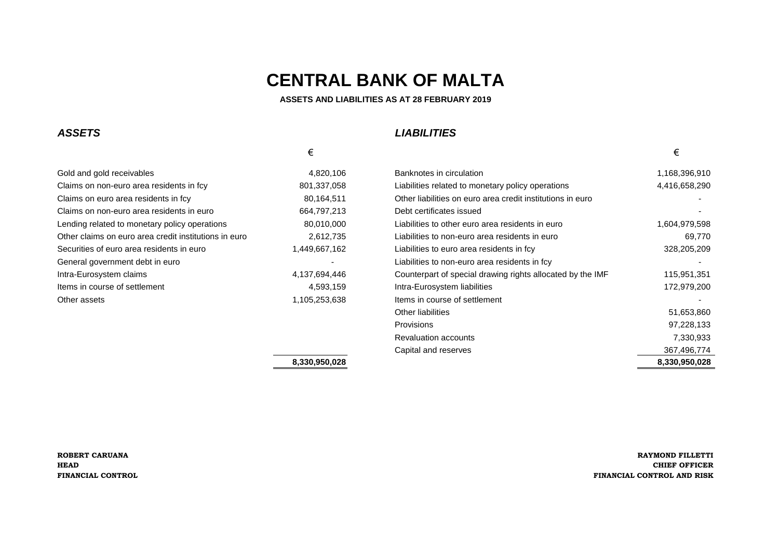# *ASSETS LIABILITIES*

|                                                       | €             |                                                                                                                                                                                                                                      | €             |
|-------------------------------------------------------|---------------|--------------------------------------------------------------------------------------------------------------------------------------------------------------------------------------------------------------------------------------|---------------|
| Gold and gold receivables                             | 4,820,106     | Banknotes in circulation                                                                                                                                                                                                             | 1,168,396,910 |
| Claims on non-euro area residents in fcy              | 801,337,058   | Liabilities related to monetary policy operations                                                                                                                                                                                    | 4,416,658,290 |
| Claims on euro area residents in fcy                  | 80,164,511    | Other liabilities on euro area credit institutions in euro                                                                                                                                                                           |               |
| Claims on non-euro area residents in euro             | 664,797,213   | Debt certificates issued                                                                                                                                                                                                             |               |
| Lending related to monetary policy operations         | 80,010,000    | Liabilities to other euro area residents in euro                                                                                                                                                                                     | 1,604,979,598 |
| Other claims on euro area credit institutions in euro | 2,612,735     | Liabilities to non-euro area residents in euro                                                                                                                                                                                       | 69,770        |
| Securities of euro area residents in euro             | 1,449,667,162 | Liabilities to euro area residents in fcy                                                                                                                                                                                            | 328,205,209   |
| General government debt in euro                       |               | Liabilities to non-euro area residents in fcy                                                                                                                                                                                        |               |
| Intra-Eurosystem claims                               | 4,137,694,446 | Counterpart of special drawing rights allocated by the IMF                                                                                                                                                                           | 115,951,351   |
| Items in course of settlement                         | 4,593,159     | Intra-Eurosystem liabilities                                                                                                                                                                                                         | 172,979,200   |
| Other assets                                          | 1,105,253,638 | Items in course of settlement                                                                                                                                                                                                        |               |
|                                                       |               | $\bigcap_{i=1}^n A_i$ , and the set of the set of the set of the set of the set of the set of the set of the set of the set of the set of the set of the set of the set of the set of the set of the set of the set of the set of th | FI AFA AAA    |

**L** 12 **Detection 12 <b>Detection** 51,653,860 **L 13** Provisions 97,228,133 Revaluation accounts **Revaluation** accounts **7,330,933 Capital and reserves** 367,496,774 **8,330,950,028 8,330,950,028**

### **ROBERT CARUANA RAYMOND FILLETTI HEAD CHIEF OFFICER FINANCIAL CONTROL FINANCIAL CONTROL AND RISK**

# **CENTRAL BANK OF MALTA**

 **ASSETS AND LIABILITIES AS AT 28 FEBRUARY 2019**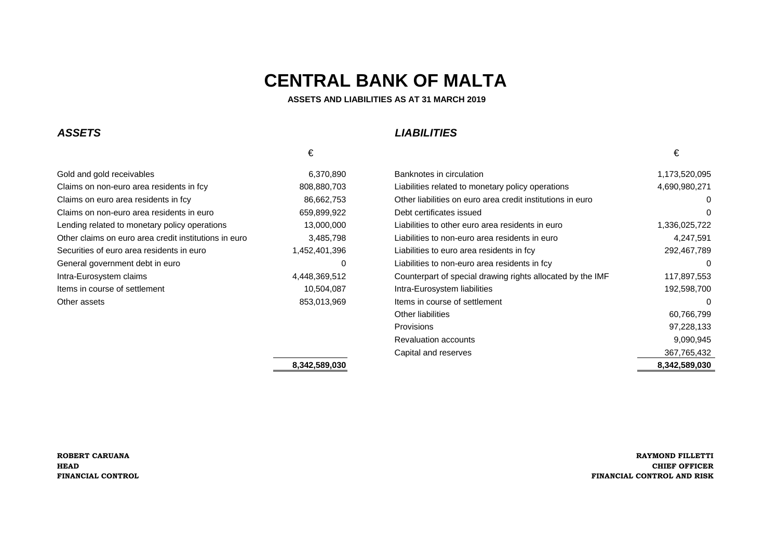**ASSETS AND LIABILITIES AS AT 31 MARCH 2019**

#### **ASSETS**

## **LIABILITIES**

### $\epsilon$ Gold and gold receivabless 6,370,890 Banknotes in circulation Claims on non-euro area residents in fcy 808,880,703 Claims on euro area residents in fcy 86,662,753 Claims on non-euro area residents in euro 659,899,922 Lending related to monetary policy operations 13,000,000 13,000,000 Other claims on euro area credit institutions in euro 3,485,798 Securities of euro area residents in euro 1,452,401,396 General government debt in euroIntra-Eurosystem claimsItems in course of settlementOther assets

| old receivables                            | 6,370,890     | Banknotes in circulation                                   | 1,173,520,095 |
|--------------------------------------------|---------------|------------------------------------------------------------|---------------|
| on-euro area residents in fcy              | 808,880,703   | Liabilities related to monetary policy operations          | 4,690,980,271 |
| uro area residents in fcy                  | 86,662,753    | Other liabilities on euro area credit institutions in euro | 0             |
| on-euro area residents in euro             | 659,899,922   | Debt certificates issued                                   | 0             |
| ated to monetary policy operations         | 13,000,000    | Liabilities to other euro area residents in euro           | 1,336,025,722 |
| s on euro area credit institutions in euro | 3,485,798     | Liabilities to non-euro area residents in euro             | 4,247,591     |
| f euro area residents in euro              | 1,452,401,396 | Liabilities to euro area residents in fcy                  | 292,467,789   |
| ernment debt in euro                       | 0             | Liabilities to non-euro area residents in fcy              | 0             |
| /stem claims                               | 4,448,369,512 | Counterpart of special drawing rights allocated by the IMF | 117,897,553   |
| irse of settlement                         | 10,504,087    | Intra-Eurosystem liabilities                               | 192,598,700   |
|                                            | 853,013,969   | Items in course of settlement                              | 0             |
|                                            |               | Other liabilities                                          | 60,766,799    |
|                                            |               | Provisions                                                 | 97,228,133    |
|                                            |               | <b>Revaluation accounts</b>                                | 9,090,945     |
|                                            |               | Capital and reserves                                       | 367,765,432   |
|                                            | 8,342,589,030 |                                                            | 8,342,589,030 |
|                                            |               |                                                            |               |

€

**ROBERT CARUANAHEADFINANCIAL CONTROL**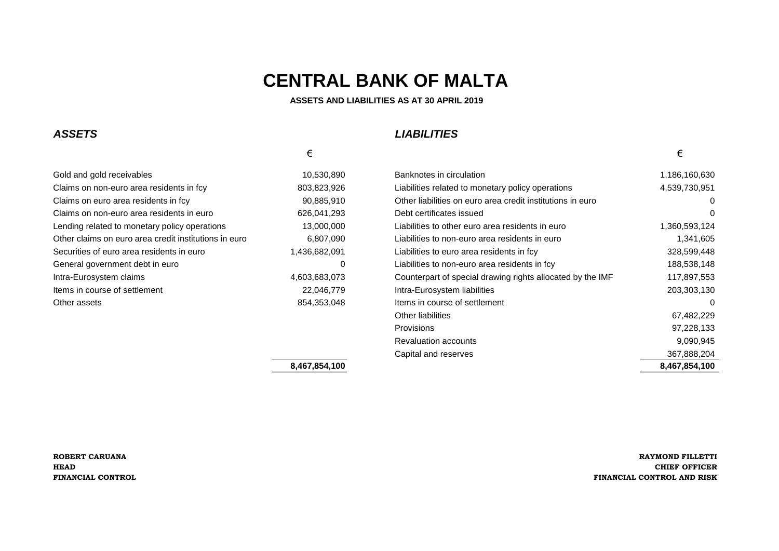**ASSETS AND LIABILITIES AS AT 30 APRIL 2019**

### *ASSETS LIABILITIES*

### $\epsilon$ Gold and gold receivables 10,530,890 Banknotes in circulation 10,530,890 Claims on non-euro area residents in fcy 803,823,926 Claims on euro area residents in fcy 90,885,910 Claims on non-euro area residents in euro 626,041,293 Lending related to monetary policy operations 13,000,000 1,3600,000 Other claims on euro area credit institutions in euro 6,807,090 Securities of euro area residents in euro 1,436,682,091 General government debt in euro **0 Liabilities to non-euro area residents in fact** 188,538,148,148,148,148,148,14 Intra-Eurosystem claims 4,603,683,073 Items in course of settlement 22,046,779

| Gold and gold receivables                             | 10,530,890    | Banknotes in circulation                                   | 1,186,160,630 |
|-------------------------------------------------------|---------------|------------------------------------------------------------|---------------|
| Claims on non-euro area residents in fcy              | 803,823,926   | Liabilities related to monetary policy operations          | 4,539,730,951 |
| Claims on euro area residents in fcy                  | 90,885,910    | Other liabilities on euro area credit institutions in euro | $\mathbf{0}$  |
| Claims on non-euro area residents in euro             | 626,041,293   | Debt certificates issued                                   | $\Omega$      |
| Lending related to monetary policy operations         | 13,000,000    | Liabilities to other euro area residents in euro           | 1,360,593,124 |
| Other claims on euro area credit institutions in euro | 6,807,090     | Liabilities to non-euro area residents in euro             | 1,341,605     |
| Securities of euro area residents in euro             | 1,436,682,091 | Liabilities to euro area residents in fcy                  | 328,599,448   |
| General government debt in euro                       | 0             | Liabilities to non-euro area residents in fcy              | 188,538,148   |
| Intra-Eurosystem claims                               | 4,603,683,073 | Counterpart of special drawing rights allocated by the IMF | 117,897,553   |
| Items in course of settlement                         | 22,046,779    | Intra-Eurosystem liabilities                               | 203,303,130   |
| Other assets                                          | 854,353,048   | Items in course of settlement                              | 0             |
|                                                       |               | <b>Other liabilities</b>                                   | 67,482,229    |
|                                                       |               | <b>Provisions</b>                                          | 97,228,133    |
|                                                       |               | <b>Revaluation accounts</b>                                | 9,090,945     |
|                                                       |               | Capital and reserves                                       | 367,888,204   |
|                                                       | 8,467,854,100 |                                                            | 8,467,854,100 |

**ROBERT CARUANA RAYMOND FILLETTI HEAD CHIEF OFFICER FINANCIAL CONTROL FINANCIAL CONTROL AND RISK**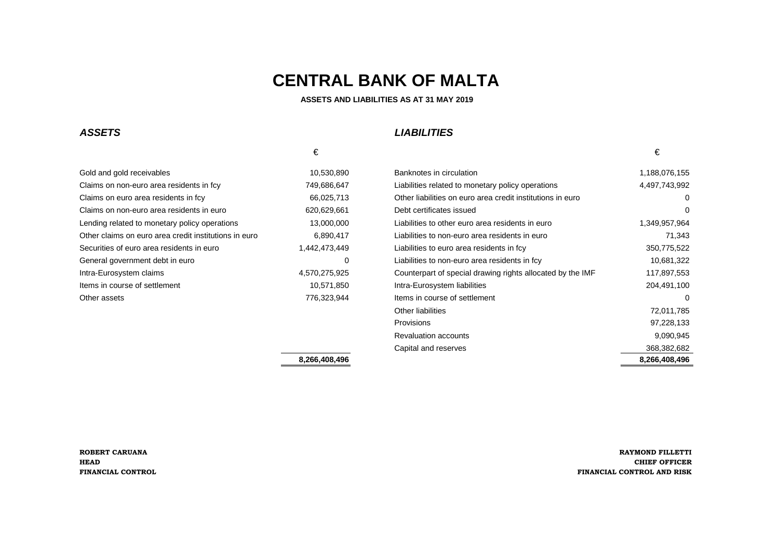#### **ASSETS AND LIABILITIES AS AT 31 MAY 2019**

#### **ASSETS**

### **LIABILITIES**

#### Gold and gold receivabless and the state of the 10,530,890 Banknotes in circulation Claims on non-euro area residents in fcy 749,686,647 Claims on euro area residents in fcy 66,025,713 Claims on non-euro area residents in euro 620,629,661 Lending related to monetary policy operations 13,000,000 Liabilities to other euro area residents in euro 1, Other claims on euro area credit institutions in euro 6,890,417 liabilities to non-Securities of euro area residents in euro 1,442,473,449 General government debt in euroIntra-Eurosystem claimsItems in course of settlementOther assets

|                                            | €             |                                                            | €             |
|--------------------------------------------|---------------|------------------------------------------------------------|---------------|
| d receivables                              | 10,530,890    | Banknotes in circulation                                   | 1,188,076,155 |
| on-euro area residents in fcy              | 749,686,647   | Liabilities related to monetary policy operations          | 4,497,743,992 |
| uro area residents in fcy                  | 66,025,713    | Other liabilities on euro area credit institutions in euro | 0             |
| on-euro area residents in euro             | 620,629,661   | Debt certificates issued                                   | 0             |
| ated to monetary policy operations         | 13,000,000    | Liabilities to other euro area residents in euro           | 1,349,957,964 |
| s on euro area credit institutions in euro | 6,890,417     | Liabilities to non-euro area residents in euro             | 71,343        |
| f euro area residents in euro              | 1,442,473,449 | Liabilities to euro area residents in fcy                  | 350,775,522   |
| ernment debt in euro                       | 0             | Liabilities to non-euro area residents in fcy              | 10,681,322    |
| /stem claims                               | 4,570,275,925 | Counterpart of special drawing rights allocated by the IMF | 117,897,553   |
| irse of settlement                         | 10,571,850    | Intra-Eurosystem liabilities                               | 204,491,100   |
|                                            | 776,323,944   | Items in course of settlement                              | $\Omega$      |
|                                            |               | Other liabilities                                          | 72,011,785    |
|                                            |               | <b>Provisions</b>                                          | 97,228,133    |
|                                            |               | <b>Revaluation accounts</b>                                | 9,090,945     |
|                                            |               | Capital and reserves                                       | 368,382,682   |
|                                            | 8,266,408,496 |                                                            | 8,266,408,496 |

€

**ROBERT CARUANAHEADFINANCIAL CONTROL**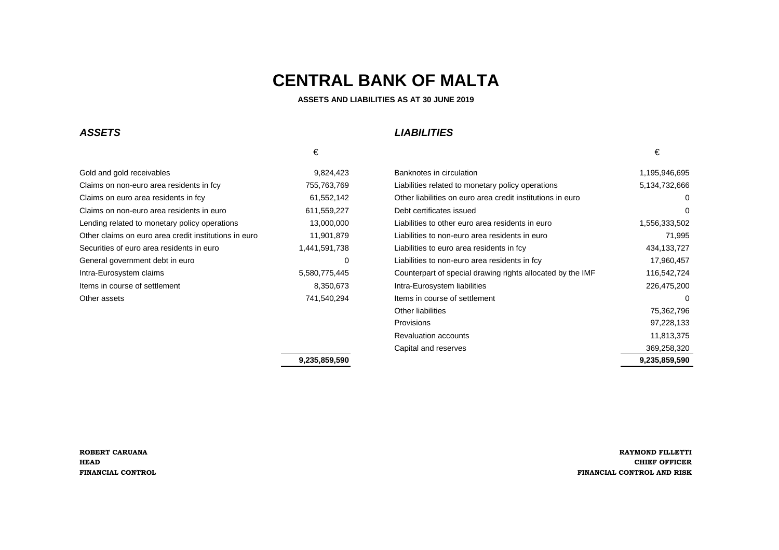**ASSETS AND LIABILITIES AS AT 30 JUNE 2019** 

#### **ASSETS**

## **LIABILITIES**

|                                                       | €             |                                                            | €               |
|-------------------------------------------------------|---------------|------------------------------------------------------------|-----------------|
| Gold and gold receivables                             | 9,824,423     | Banknotes in circulation                                   | 1,195.          |
| Claims on non-euro area residents in fcy              | 755,763,769   | Liabilities related to monetary policy operations          | 5,134           |
| Claims on euro area residents in fcy                  | 61,552,142    | Other liabilities on euro area credit institutions in euro |                 |
| Claims on non-euro area residents in euro             | 611,559,227   | Debt certificates issued                                   |                 |
| Lending related to monetary policy operations         | 13,000,000    | Liabilities to other euro area residents in euro           | 1,556.          |
| Other claims on euro area credit institutions in euro | 11,901,879    | Liabilities to non-euro area residents in euro             |                 |
| Securities of euro area residents in euro             | 441,591,738,  | Liabilities to euro area residents in fcy                  | 434             |
| General government debt in euro                       | 0             | Liabilities to non-euro area residents in fcy              | 17 <sub>2</sub> |
| Intra-Eurosystem claims                               | 5,580,775,445 | Counterpart of special drawing rights allocated by the IMF | 116             |
| Items in course of settlement                         | 8,350,673     | Intra-Eurosystem liabilities                               | 226             |
| Other assets                                          | 741,540,294   | Items in course of settlement                              |                 |
|                                                       |               |                                                            |                 |

| Gold and gold receivables                             | 9,824,423     | Banknotes in circulation                                   | 1,195,946,695 |
|-------------------------------------------------------|---------------|------------------------------------------------------------|---------------|
| Claims on non-euro area residents in fcy              | 755,763,769   | Liabilities related to monetary policy operations          | 5,134,732,666 |
| Claims on euro area residents in fcy                  | 61,552,142    | Other liabilities on euro area credit institutions in euro | 0             |
| Claims on non-euro area residents in euro             | 611,559,227   | Debt certificates issued                                   | 0             |
| Lending related to monetary policy operations         | 13,000,000    | Liabilities to other euro area residents in euro           | 1,556,333,502 |
| Other claims on euro area credit institutions in euro | 11,901,879    | Liabilities to non-euro area residents in euro             | 71,995        |
| Securities of euro area residents in euro             | 1,441,591,738 | Liabilities to euro area residents in fcy                  | 434, 133, 727 |
| General government debt in euro                       | 0             | Liabilities to non-euro area residents in fcy              | 17,960,457    |
| Intra-Eurosystem claims                               | 5,580,775,445 | Counterpart of special drawing rights allocated by the IMF | 116,542,724   |
| Items in course of settlement                         | 8,350,673     | Intra-Eurosystem liabilities                               | 226,475,200   |
| Other assets                                          | 741,540,294   | Items in course of settlement                              | 0             |
|                                                       |               | Other liabilities                                          | 75,362,796    |
|                                                       |               | <b>Provisions</b>                                          | 97,228,133    |
|                                                       |               | <b>Revaluation accounts</b>                                | 11,813,375    |
|                                                       |               | Capital and reserves                                       | 369,258,320   |
|                                                       | 9,235,859,590 |                                                            | 9,235,859,590 |
|                                                       |               |                                                            |               |

€

**ROBERT CARUANAHEADFINANCIAL CONTROL**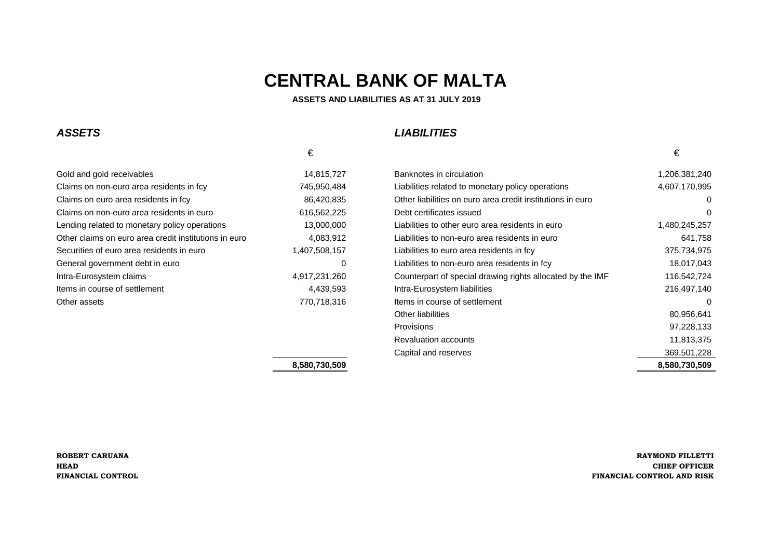**ASSETS AND LIABILITIES AS AT 31 JULY 2019**

### **ASSETS**

### **LIABILITIES**

| Gold and gold receivables                             | 14,815,727    | Banknotes in circulation    |
|-------------------------------------------------------|---------------|-----------------------------|
| Claims on non-euro area residents in fcy              | 745,950,484   | Liabilities related to mor  |
| Claims on euro area residents in fcy                  | 86,420,835    | Other liabilities on euro   |
| Claims on non-euro area residents in euro             | 616,562,225   | Debt certificates issued    |
| Lending related to monetary policy operations         | 13,000,000    | Liabilities to other euro   |
| Other claims on euro area credit institutions in euro | 4,083,912     | Liabilities to non-euro are |
| Securities of euro area residents in euro             | 1,407,508,157 | Liabilities to euro area re |
| General government debt in euro                       | 0             | Liabilities to non-euro are |
| Intra-Eurosystem claims                               | 4,917,231,260 | Counterpart of special c    |
| Items in course of settlement                         | 4,439,593     | Intra-Eurosystem liabiliti  |
| Other assets                                          | 770.718.316   | Items in course of settle   |
|                                                       |               |                             |

|                                                       | €             |                                                            | €             |
|-------------------------------------------------------|---------------|------------------------------------------------------------|---------------|
| Gold and gold receivables                             | 14,815,727    | Banknotes in circulation                                   | 1,206,381,240 |
| Claims on non-euro area residents in fcy              | 745,950,484   | Liabilities related to monetary policy operations          | 4,607,170,995 |
| Claims on euro area residents in fcy                  | 86,420,835    | Other liabilities on euro area credit institutions in euro | 0             |
| Claims on non-euro area residents in euro             | 616,562,225   | Debt certificates issued                                   | 0             |
| Lending related to monetary policy operations         | 13,000,000    | Liabilities to other euro area residents in euro           | 1,480,245,257 |
| Other claims on euro area credit institutions in euro | 4,083,912     | Liabilities to non-euro area residents in euro             | 641,758       |
| Securities of euro area residents in euro             | 1,407,508,157 | Liabilities to euro area residents in fcy                  | 375,734,975   |
| General government debt in euro                       | 0             | Liabilities to non-euro area residents in fcy              | 18,017,043    |
| Intra-Eurosystem claims                               | 4,917,231,260 | Counterpart of special drawing rights allocated by the IMF | 116,542,724   |
| ltems in course of settlement                         | 4,439,593     | Intra-Eurosystem liabilities                               | 216,497,140   |
| Other assets                                          | 770,718,316   | Items in course of settlement                              | 0             |
|                                                       |               | Other liabilities                                          | 80,956,641    |
|                                                       |               | <b>Provisions</b>                                          | 97,228,133    |
|                                                       |               | <b>Revaluation accounts</b>                                | 11,813,375    |
|                                                       |               | Capital and reserves                                       | 369,501,228   |
|                                                       | 8,580,730,509 |                                                            | 8,580,730,509 |

€

**ROBERT CARUANAHEADFINANCIAL CONTROL**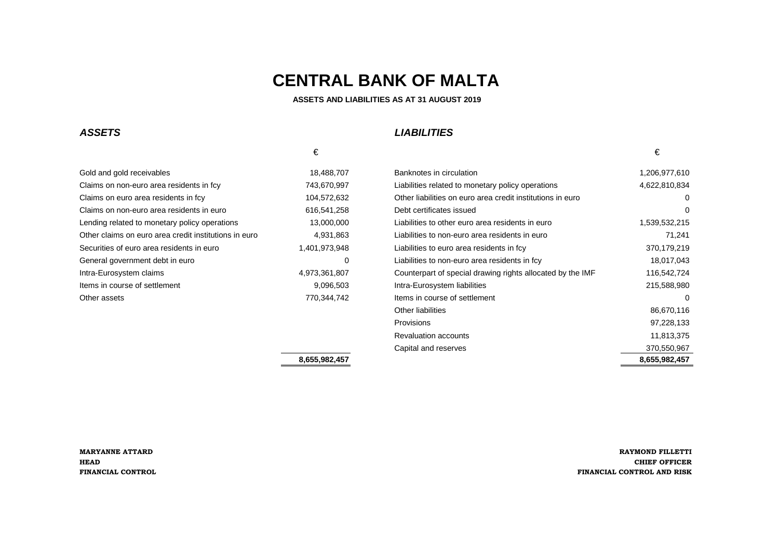**ASSETS AND LIABILITIES AS AT 31 AUGUST 2019**

#### **ASSETS**

## **LIABILITIES**

| €             |                                                            | €      |
|---------------|------------------------------------------------------------|--------|
| 18,488,707    | Banknotes in circulation                                   | 1,206. |
| 743,670,997   | Liabilities related to monetary policy operations          | 4,622  |
| 104,572,632   | Other liabilities on euro area credit institutions in euro |        |
| 616,541,258   | Debt certificates issued                                   |        |
| 13,000,000    | Liabilities to other euro area residents in euro           | 1,539. |
| 4.931.863     | Liabilities to non-euro area residents in euro             |        |
| 1,401,973,948 | Liabilities to euro area residents in fcy                  | 370    |
| 0             | Liabilities to non-euro area residents in fcy              | 18     |
| 4,973,361,807 | Counterpart of special drawing rights allocated by the IMF | 116    |
| 9,096,503     | Intra-Eurosystem liabilities                               | 215    |
| 770,344,742   | Items in course of settlement                              |        |
|               |                                                            |        |

| Gold and gold receivables                             | 18,488,707    | Banknotes in circulation                                   | 1,206,977,610 |
|-------------------------------------------------------|---------------|------------------------------------------------------------|---------------|
| Claims on non-euro area residents in fcy              | 743,670,997   | Liabilities related to monetary policy operations          | 4,622,810,834 |
| Claims on euro area residents in fcy                  | 104,572,632   | Other liabilities on euro area credit institutions in euro | 0             |
| Claims on non-euro area residents in euro             | 616,541,258   | Debt certificates issued                                   | $\Omega$      |
| Lending related to monetary policy operations         | 13,000,000    | Liabilities to other euro area residents in euro           | 1,539,532,215 |
| Other claims on euro area credit institutions in euro | 4,931,863     | Liabilities to non-euro area residents in euro             | 71,241        |
| Securities of euro area residents in euro             | 1,401,973,948 | Liabilities to euro area residents in fcy                  | 370,179,219   |
| General government debt in euro                       | 0             | Liabilities to non-euro area residents in fcy              | 18,017,043    |
| Intra-Eurosystem claims                               | 4,973,361,807 | Counterpart of special drawing rights allocated by the IMF | 116,542,724   |
| Items in course of settlement                         | 9,096,503     | Intra-Eurosystem liabilities                               | 215,588,980   |
| Other assets                                          | 770,344,742   | Items in course of settlement                              | 0             |
|                                                       |               | Other liabilities                                          | 86,670,116    |
|                                                       |               | <b>Provisions</b>                                          | 97,228,133    |
|                                                       |               | <b>Revaluation accounts</b>                                | 11,813,375    |
|                                                       |               | Capital and reserves                                       | 370,550,967   |
|                                                       | 8,655,982,457 |                                                            | 8,655,982,457 |
|                                                       |               |                                                            |               |

€

**MARYANNE ATTARDHEADFINANCIAL CONTROL**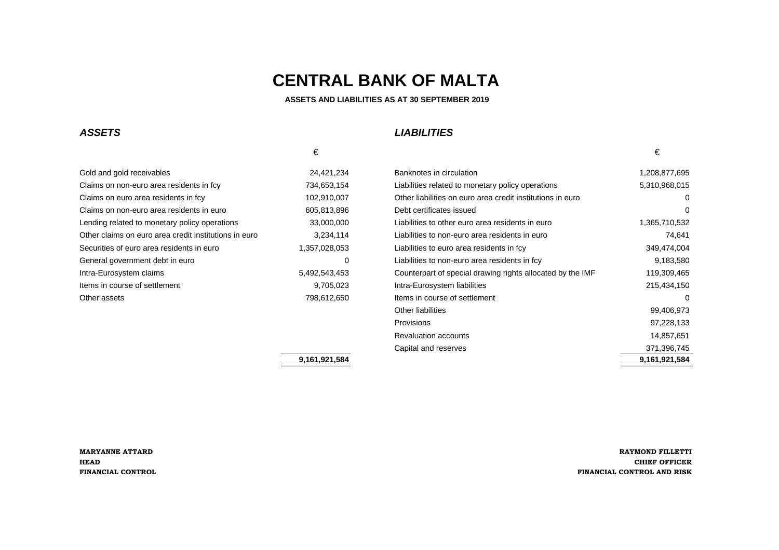**ASSETS AND LIABILITIES AS AT 30 SEPTEMBER 2019**

#### **ASSETS**

## **LIABILITIES**

| 1,208.                                                             |
|--------------------------------------------------------------------|
| 5,310                                                              |
|                                                                    |
|                                                                    |
| 1,365.                                                             |
|                                                                    |
| 349.                                                               |
| 9.                                                                 |
| Counterpart of special drawing rights allocated by the IMF<br>119. |
| 215                                                                |
|                                                                    |
|                                                                    |

| Claims on non-euro area residents in fcy<br>734,653,154<br>Liabilities related to monetary policy operations<br>Claims on euro area residents in fcy<br>102,910,007<br>Other liabilities on euro area credit institutions in euro<br>Claims on non-euro area residents in euro<br>605,813,896<br>Debt certificates issued<br>Lending related to monetary policy operations<br>33,000,000<br>Liabilities to other euro area residents in euro | 5,310,968,015<br>0<br>$\Omega$<br>1,365,710,532 |
|----------------------------------------------------------------------------------------------------------------------------------------------------------------------------------------------------------------------------------------------------------------------------------------------------------------------------------------------------------------------------------------------------------------------------------------------|-------------------------------------------------|
|                                                                                                                                                                                                                                                                                                                                                                                                                                              |                                                 |
|                                                                                                                                                                                                                                                                                                                                                                                                                                              |                                                 |
|                                                                                                                                                                                                                                                                                                                                                                                                                                              |                                                 |
|                                                                                                                                                                                                                                                                                                                                                                                                                                              |                                                 |
| Other claims on euro area credit institutions in euro<br>3,234,114<br>Liabilities to non-euro area residents in euro                                                                                                                                                                                                                                                                                                                         | 74,641                                          |
| 1,357,028,053<br>Securities of euro area residents in euro<br>Liabilities to euro area residents in fcy                                                                                                                                                                                                                                                                                                                                      | 349,474,004                                     |
| Liabilities to non-euro area residents in fcy<br>General government debt in euro<br>0                                                                                                                                                                                                                                                                                                                                                        | 9,183,580                                       |
| Counterpart of special drawing rights allocated by the IMF<br>Intra-Eurosystem claims<br>5,492,543,453                                                                                                                                                                                                                                                                                                                                       | 119,309,465                                     |
| Items in course of settlement<br>9,705,023<br>Intra-Eurosystem liabilities                                                                                                                                                                                                                                                                                                                                                                   | 215,434,150                                     |
| 798,612,650<br>Other assets<br>Items in course of settlement                                                                                                                                                                                                                                                                                                                                                                                 | 0                                               |
| Other liabilities                                                                                                                                                                                                                                                                                                                                                                                                                            | 99,406,973                                      |
| <b>Provisions</b>                                                                                                                                                                                                                                                                                                                                                                                                                            | 97,228,133                                      |
| <b>Revaluation accounts</b>                                                                                                                                                                                                                                                                                                                                                                                                                  | 14,857,651                                      |
| Capital and reserves                                                                                                                                                                                                                                                                                                                                                                                                                         | 371,396,745                                     |
| 9,161,921,584                                                                                                                                                                                                                                                                                                                                                                                                                                | 9,161,921,584                                   |

€

**MARYANNE ATTARDHEADFINANCIAL CONTROL**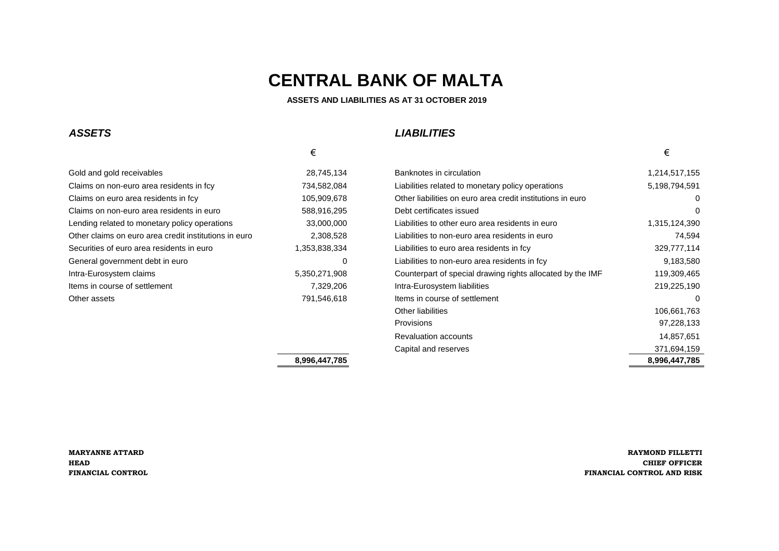#### **ASSETS AND LIABILITIES AS AT 31 OCTOBER 2019**

### *ASSETS LIABILITIES*

 $\epsilon$ 

### Gold and gold receivables 28,745,134 Claims on non-euro area residents in fcy 734,582,084 Claims on euro area residents in fcy 105,909,678 Claims on non-euro area residents in euro 588,916,295 Lending related to monetary policy operations 33,000,000 Clear and the store residents in euro 1,315,000,000 L Other claims on euro area credit institutions in euro 2,308,528 Securities of euro area residents in euro 1,353,838,334 General government debt in euro **Disk and Aliabilities to non-euro area residents in fact 9,183,690,680,680,680** Intra-Eurosystem claims 5,350,271,908 Items in course of settlement 7,329,206

| Gold and gold receivables                             | 28,745,134    | Banknotes in circulation                                   | 1,214,517,155 |
|-------------------------------------------------------|---------------|------------------------------------------------------------|---------------|
| Claims on non-euro area residents in fcy              | 734,582,084   | Liabilities related to monetary policy operations          | 5,198,794,591 |
| Claims on euro area residents in fcy                  | 105,909,678   | Other liabilities on euro area credit institutions in euro | 0             |
| Claims on non-euro area residents in euro             | 588,916,295   | Debt certificates issued                                   | 0             |
| Lending related to monetary policy operations         | 33,000,000    | Liabilities to other euro area residents in euro           | 1,315,124,390 |
| Other claims on euro area credit institutions in euro | 2,308,528     | Liabilities to non-euro area residents in euro             | 74,594        |
| Securities of euro area residents in euro             | 1,353,838,334 | Liabilities to euro area residents in fcy                  | 329,777,114   |
| General government debt in euro                       | 0             | Liabilities to non-euro area residents in fcy              | 9,183,580     |
| Intra-Eurosystem claims                               | 5,350,271,908 | Counterpart of special drawing rights allocated by the IMF | 119,309,465   |
| Items in course of settlement                         | 7,329,206     | Intra-Eurosystem liabilities                               | 219,225,190   |
| Other assets                                          | 791,546,618   | Items in course of settlement                              | 0             |
|                                                       |               | Other liabilities                                          | 106,661,763   |
|                                                       |               | Provisions                                                 | 97,228,133    |
|                                                       |               | <b>Revaluation accounts</b>                                | 14,857,651    |
|                                                       |               | Capital and reserves                                       | 371,694,159   |
|                                                       | 8,996,447,785 |                                                            | 8,996,447,785 |

**MARYANNE ATTARD RAYMOND FILLETTI HEAD CHIEF OFFICER FINANCIAL CONTROL FINANCIAL CONTROL AND RISK**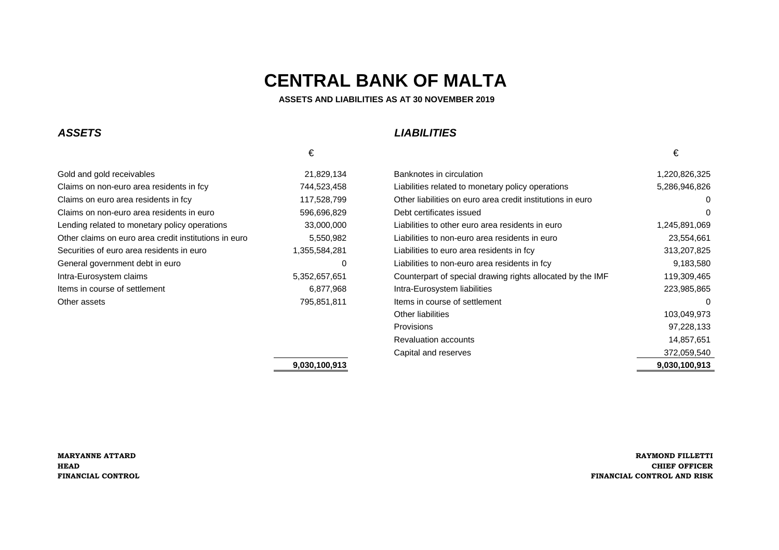**ASSETS AND LIABILITIES AS AT 30 NOVEMBER 2019**

### **ASSETS**

### **LIABILITIES**

| Gold and gold receivables                             | 21,829,134    | Banknotes in circulation    |
|-------------------------------------------------------|---------------|-----------------------------|
| Claims on non-euro area residents in fcy              | 744,523,458   | Liabilities related to mor  |
| Claims on euro area residents in fcy                  | 117,528,799   | Other liabilities on euro   |
| Claims on non-euro area residents in euro             | 596,696,829   | Debt certificates issued    |
| Lending related to monetary policy operations         | 33,000,000    | Liabilities to other euro a |
| Other claims on euro area credit institutions in euro | 5,550,982     | Liabilities to non-euro are |
| Securities of euro area residents in euro             | 1,355,584,281 | Liabilities to euro area re |
| General government debt in euro                       | 0             | Liabilities to non-euro ar  |
| Intra-Eurosystem claims                               | 5,352,657,651 | Counterpart of special c    |
| Items in course of settlement                         | 6,877,968     | Intra-Eurosystem liabilit   |
| Other assets                                          | 795.851.811   | Items in course of settle   |
|                                                       |               |                             |

|                                                       | €             |                                                            | €             |
|-------------------------------------------------------|---------------|------------------------------------------------------------|---------------|
| Gold and gold receivables                             | 21,829,134    | Banknotes in circulation                                   | 1,220,826,325 |
| Claims on non-euro area residents in fcy              | 744,523,458   | Liabilities related to monetary policy operations          | 5,286,946,826 |
| Claims on euro area residents in fcy                  | 117,528,799   | Other liabilities on euro area credit institutions in euro | 0             |
| Claims on non-euro area residents in euro             | 596,696,829   | Debt certificates issued                                   | 0             |
| Lending related to monetary policy operations         | 33,000,000    | Liabilities to other euro area residents in euro           | 1,245,891,069 |
| Other claims on euro area credit institutions in euro | 5,550,982     | Liabilities to non-euro area residents in euro             | 23,554,661    |
| Securities of euro area residents in euro             | 1,355,584,281 | Liabilities to euro area residents in fcy                  | 313,207,825   |
| General government debt in euro                       | 0             | Liabilities to non-euro area residents in fcy              | 9,183,580     |
| Intra-Eurosystem claims                               | 5,352,657,651 | Counterpart of special drawing rights allocated by the IMF | 119,309,465   |
| Items in course of settlement                         | 6,877,968     | Intra-Eurosystem liabilities                               | 223,985,865   |
| Other assets                                          | 795,851,811   | Items in course of settlement                              | $\Omega$      |
|                                                       |               | Other liabilities                                          | 103,049,973   |
|                                                       |               | <b>Provisions</b>                                          | 97,228,133    |
|                                                       |               | <b>Revaluation accounts</b>                                | 14,857,651    |
|                                                       |               | Capital and reserves                                       | 372,059,540   |
|                                                       | 9,030,100,913 |                                                            | 9,030,100,913 |

#### **9,030,100,913**

€

**MARYANNE ATTARDHEADFINANCIAL CONTROL**